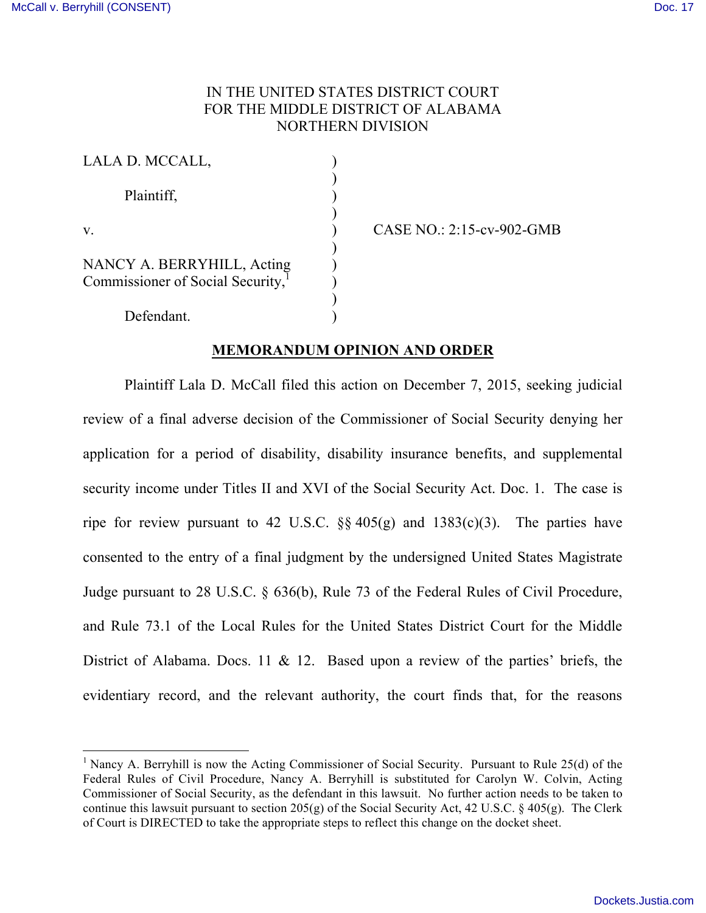# IN THE UNITED STATES DISTRICT COURT FOR THE MIDDLE DISTRICT OF ALABAMA NORTHERN DIVISION

| LALA D. MCCALL,                                                             |  |
|-----------------------------------------------------------------------------|--|
| Plaintiff,                                                                  |  |
| V.                                                                          |  |
| NANCY A. BERRYHILL, Acting<br>Commissioner of Social Security, <sup>1</sup> |  |
| Defendant.                                                                  |  |

v. ) CASE NO.: 2:15-cv-902-GMB

## **MEMORANDUM OPINION AND ORDER**

Plaintiff Lala D. McCall filed this action on December 7, 2015, seeking judicial review of a final adverse decision of the Commissioner of Social Security denying her application for a period of disability, disability insurance benefits, and supplemental security income under Titles II and XVI of the Social Security Act. Doc. 1. The case is ripe for review pursuant to 42 U.S.C.  $\S$  405(g) and 1383(c)(3). The parties have consented to the entry of a final judgment by the undersigned United States Magistrate Judge pursuant to 28 U.S.C. § 636(b), Rule 73 of the Federal Rules of Civil Procedure, and Rule 73.1 of the Local Rules for the United States District Court for the Middle District of Alabama. Docs. 11 & 12. Based upon a review of the parties' briefs, the evidentiary record, and the relevant authority, the court finds that, for the reasons

<sup>&</sup>lt;sup>1</sup> Nancy A. Berryhill is now the Acting Commissioner of Social Security. Pursuant to Rule  $25(d)$  of the Federal Rules of Civil Procedure, Nancy A. Berryhill is substituted for Carolyn W. Colvin, Acting Commissioner of Social Security, as the defendant in this lawsuit. No further action needs to be taken to continue this lawsuit pursuant to section  $205(g)$  of the Social Security Act, 42 U.S.C. § 405(g). The Clerk of Court is DIRECTED to take the appropriate steps to reflect this change on the docket sheet.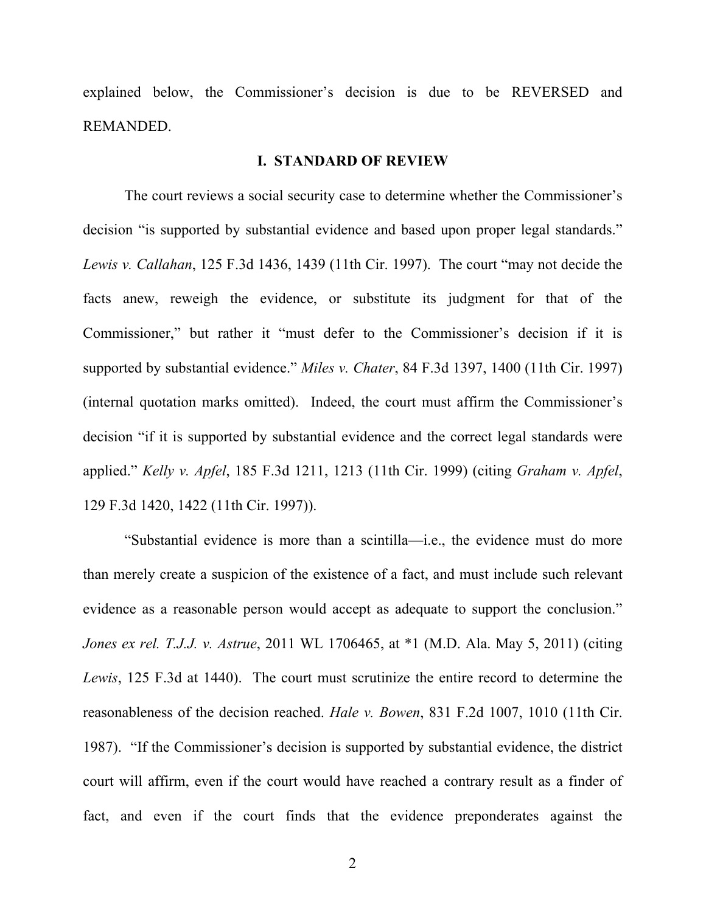explained below, the Commissioner's decision is due to be REVERSED and REMANDED.

### **I. STANDARD OF REVIEW**

The court reviews a social security case to determine whether the Commissioner's decision "is supported by substantial evidence and based upon proper legal standards." *Lewis v. Callahan*, 125 F.3d 1436, 1439 (11th Cir. 1997). The court "may not decide the facts anew, reweigh the evidence, or substitute its judgment for that of the Commissioner," but rather it "must defer to the Commissioner's decision if it is supported by substantial evidence." *Miles v. Chater*, 84 F.3d 1397, 1400 (11th Cir. 1997) (internal quotation marks omitted). Indeed, the court must affirm the Commissioner's decision "if it is supported by substantial evidence and the correct legal standards were applied." *Kelly v. Apfel*, 185 F.3d 1211, 1213 (11th Cir. 1999) (citing *Graham v. Apfel*, 129 F.3d 1420, 1422 (11th Cir. 1997)).

"Substantial evidence is more than a scintilla—i.e., the evidence must do more than merely create a suspicion of the existence of a fact, and must include such relevant evidence as a reasonable person would accept as adequate to support the conclusion." *Jones ex rel. T.J.J. v. Astrue*, 2011 WL 1706465, at \*1 (M.D. Ala. May 5, 2011) (citing *Lewis*, 125 F.3d at 1440). The court must scrutinize the entire record to determine the reasonableness of the decision reached. *Hale v. Bowen*, 831 F.2d 1007, 1010 (11th Cir. 1987). "If the Commissioner's decision is supported by substantial evidence, the district court will affirm, even if the court would have reached a contrary result as a finder of fact, and even if the court finds that the evidence preponderates against the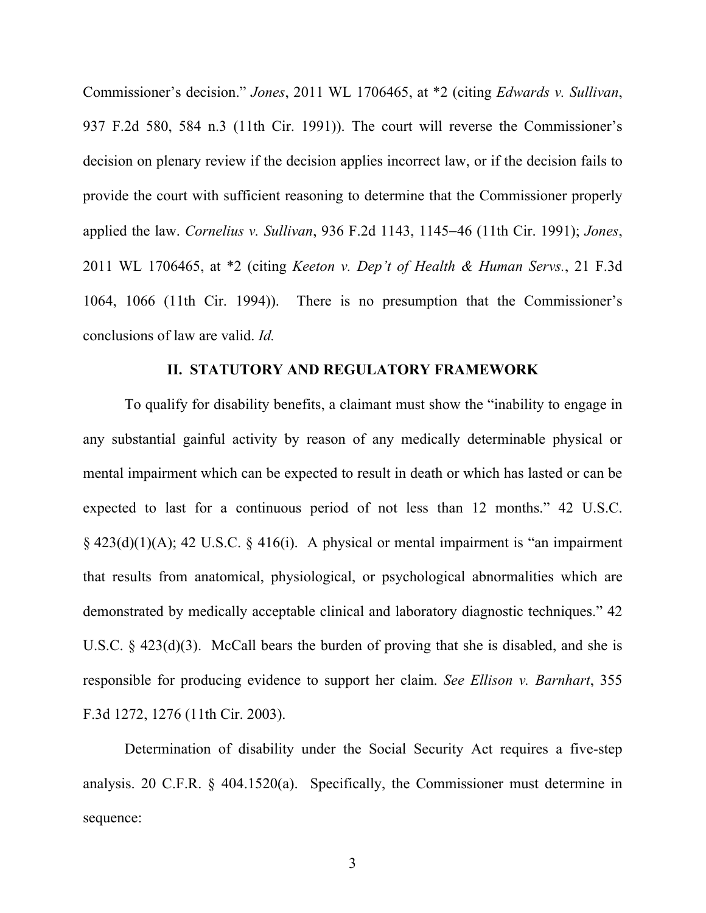Commissioner's decision." *Jones*, 2011 WL 1706465, at \*2 (citing *Edwards v. Sullivan*, 937 F.2d 580, 584 n.3 (11th Cir. 1991)). The court will reverse the Commissioner's decision on plenary review if the decision applies incorrect law, or if the decision fails to provide the court with sufficient reasoning to determine that the Commissioner properly applied the law. *Cornelius v. Sullivan*, 936 F.2d 1143, 1145-46 (11th Cir. 1991); *Jones*, 2011 WL 1706465, at \*2 (citing *Keeton v. Dep't of Health & Human Servs.*, 21 F.3d 1064, 1066 (11th Cir. 1994)). There is no presumption that the Commissioner's conclusions of law are valid. *Id.*

### **II. STATUTORY AND REGULATORY FRAMEWORK**

To qualify for disability benefits, a claimant must show the "inability to engage in any substantial gainful activity by reason of any medically determinable physical or mental impairment which can be expected to result in death or which has lasted or can be expected to last for a continuous period of not less than 12 months." 42 U.S.C.  $\S$  423(d)(1)(A); 42 U.S.C.  $\S$  416(i). A physical or mental impairment is "an impairment that results from anatomical, physiological, or psychological abnormalities which are demonstrated by medically acceptable clinical and laboratory diagnostic techniques." 42 U.S.C.  $\S$  423(d)(3). McCall bears the burden of proving that she is disabled, and she is responsible for producing evidence to support her claim. *See Ellison v. Barnhart*, 355 F.3d 1272, 1276 (11th Cir. 2003).

Determination of disability under the Social Security Act requires a five-step analysis. 20 C.F.R. § 404.1520(a). Specifically, the Commissioner must determine in sequence: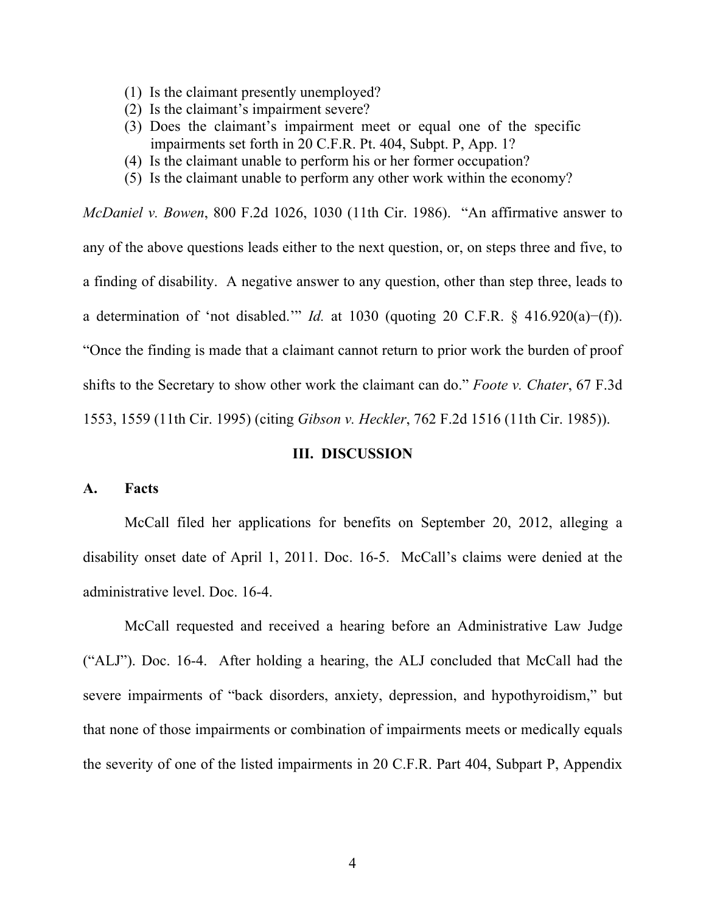- (1) Is the claimant presently unemployed?
- (2) Is the claimant's impairment severe?
- (3) Does the claimant's impairment meet or equal one of the specific impairments set forth in 20 C.F.R. Pt. 404, Subpt. P, App. 1?
- (4) Is the claimant unable to perform his or her former occupation?
- (5) Is the claimant unable to perform any other work within the economy?

*McDaniel v. Bowen*, 800 F.2d 1026, 1030 (11th Cir. 1986). "An affirmative answer to any of the above questions leads either to the next question, or, on steps three and five, to a finding of disability. A negative answer to any question, other than step three, leads to a determination of 'not disabled.'" *Id.* at 1030 (quoting 20 C.F.R. § 416.920(a)−(f)). "Once the finding is made that a claimant cannot return to prior work the burden of proof shifts to the Secretary to show other work the claimant can do." *Foote v. Chater*, 67 F.3d 1553, 1559 (11th Cir. 1995) (citing *Gibson v. Heckler*, 762 F.2d 1516 (11th Cir. 1985)).

#### **III. DISCUSSION**

### **A. Facts**

McCall filed her applications for benefits on September 20, 2012, alleging a disability onset date of April 1, 2011. Doc. 16-5. McCall's claims were denied at the administrative level. Doc. 16-4.

McCall requested and received a hearing before an Administrative Law Judge ("ALJ"). Doc. 16-4. After holding a hearing, the ALJ concluded that McCall had the severe impairments of "back disorders, anxiety, depression, and hypothyroidism," but that none of those impairments or combination of impairments meets or medically equals the severity of one of the listed impairments in 20 C.F.R. Part 404, Subpart P, Appendix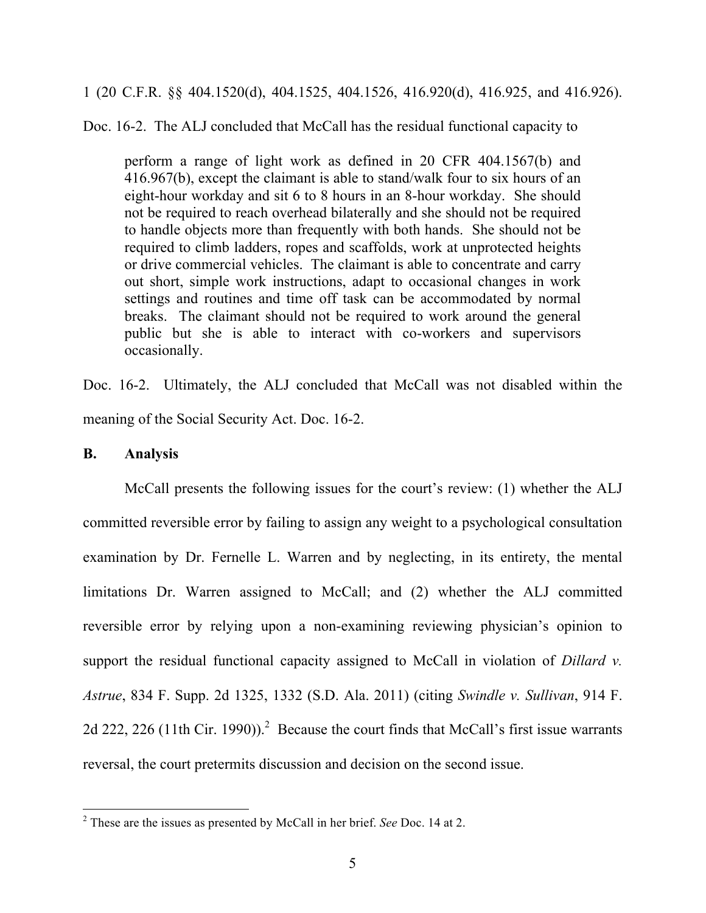1 (20 C.F.R. §§ 404.1520(d), 404.1525, 404.1526, 416.920(d), 416.925, and 416.926).

Doc. 16-2. The ALJ concluded that McCall has the residual functional capacity to

perform a range of light work as defined in 20 CFR 404.1567(b) and 416.967(b), except the claimant is able to stand/walk four to six hours of an eight-hour workday and sit 6 to 8 hours in an 8-hour workday. She should not be required to reach overhead bilaterally and she should not be required to handle objects more than frequently with both hands. She should not be required to climb ladders, ropes and scaffolds, work at unprotected heights or drive commercial vehicles. The claimant is able to concentrate and carry out short, simple work instructions, adapt to occasional changes in work settings and routines and time off task can be accommodated by normal breaks. The claimant should not be required to work around the general public but she is able to interact with co-workers and supervisors occasionally.

Doc. 16-2. Ultimately, the ALJ concluded that McCall was not disabled within the meaning of the Social Security Act. Doc. 16-2.

### **B. Analysis**

McCall presents the following issues for the court's review: (1) whether the ALJ committed reversible error by failing to assign any weight to a psychological consultation examination by Dr. Fernelle L. Warren and by neglecting, in its entirety, the mental limitations Dr. Warren assigned to McCall; and (2) whether the ALJ committed reversible error by relying upon a non-examining reviewing physician's opinion to support the residual functional capacity assigned to McCall in violation of *Dillard v*. *Astrue*, 834 F. Supp. 2d 1325, 1332 (S.D. Ala. 2011) (citing *Swindle v. Sullivan*, 914 F. 2d 222, 226 (11th Cir. 1990)).<sup>2</sup> Because the court finds that McCall's first issue warrants reversal, the court pretermits discussion and decision on the second issue.

 <sup>2</sup> These are the issues as presented by McCall in her brief. *See* Doc. 14 at 2.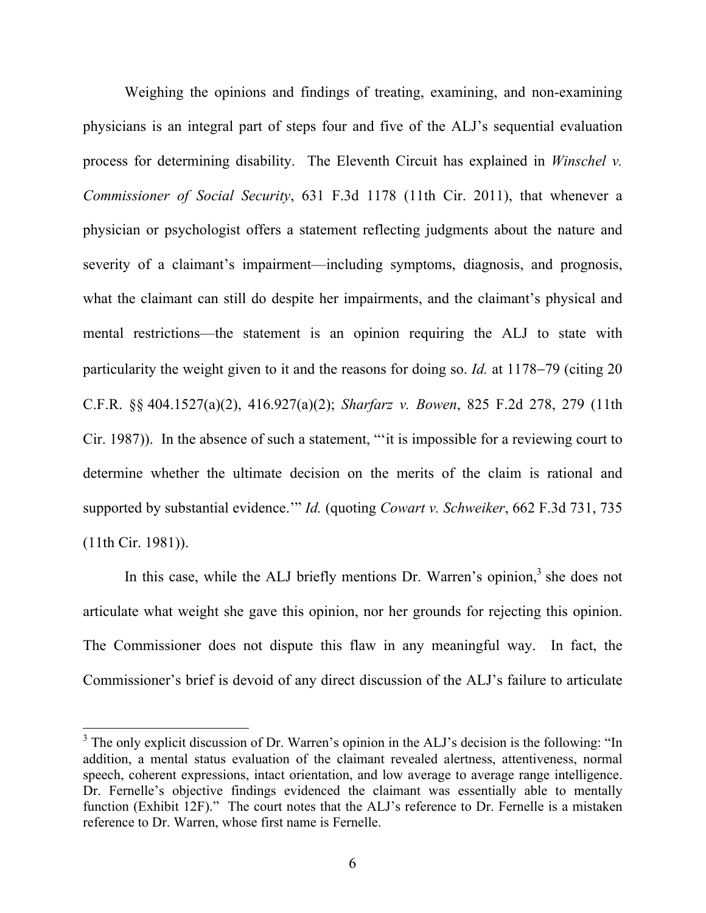Weighing the opinions and findings of treating, examining, and non-examining physicians is an integral part of steps four and five of the ALJ's sequential evaluation process for determining disability. The Eleventh Circuit has explained in *Winschel v. Commissioner of Social Security*, 631 F.3d 1178 (11th Cir. 2011), that whenever a physician or psychologist offers a statement reflecting judgments about the nature and severity of a claimant's impairment—including symptoms, diagnosis, and prognosis, what the claimant can still do despite her impairments, and the claimant's physical and mental restrictions—the statement is an opinion requiring the ALJ to state with particularity the weight given to it and the reasons for doing so. *Id.* at 1178-79 (citing 20 C.F.R. §§ 404.1527(a)(2), 416.927(a)(2); *Sharfarz v. Bowen*, 825 F.2d 278, 279 (11th Cir. 1987)). In the absence of such a statement, "'it is impossible for a reviewing court to determine whether the ultimate decision on the merits of the claim is rational and supported by substantial evidence.'" *Id.* (quoting *Cowart v. Schweiker*, 662 F.3d 731, 735 (11th Cir. 1981)).

In this case, while the ALJ briefly mentions Dr. Warren's opinion, $3$  she does not articulate what weight she gave this opinion, nor her grounds for rejecting this opinion. The Commissioner does not dispute this flaw in any meaningful way. In fact, the Commissioner's brief is devoid of any direct discussion of the ALJ's failure to articulate

<sup>&</sup>lt;sup>3</sup> The only explicit discussion of Dr. Warren's opinion in the ALJ's decision is the following: "In addition, a mental status evaluation of the claimant revealed alertness, attentiveness, normal speech, coherent expressions, intact orientation, and low average to average range intelligence. Dr. Fernelle's objective findings evidenced the claimant was essentially able to mentally function (Exhibit 12F)." The court notes that the ALJ's reference to Dr. Fernelle is a mistaken reference to Dr. Warren, whose first name is Fernelle.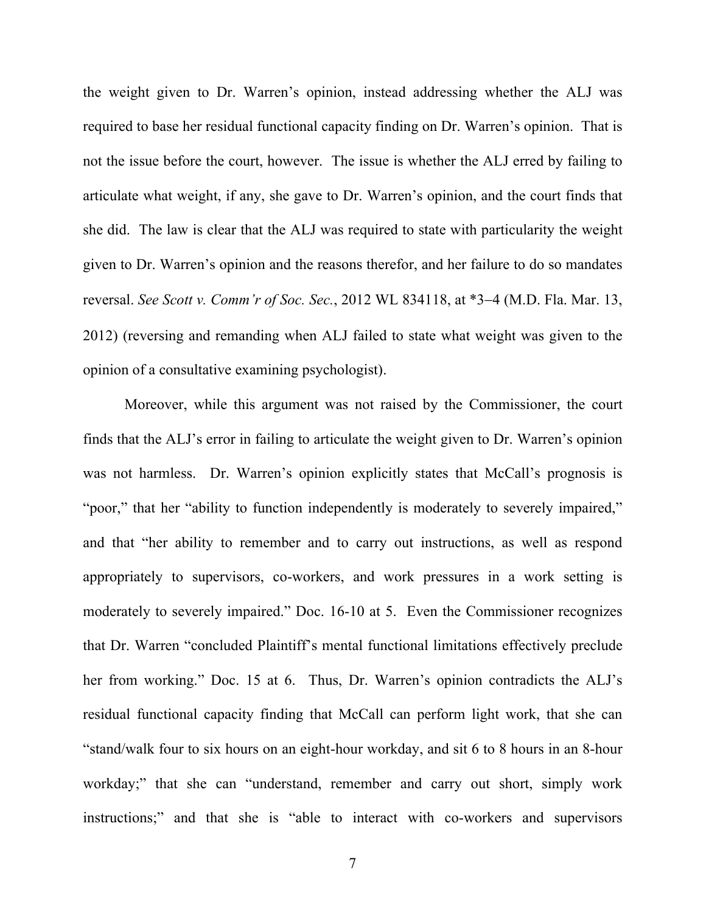the weight given to Dr. Warren's opinion, instead addressing whether the ALJ was required to base her residual functional capacity finding on Dr. Warren's opinion. That is not the issue before the court, however. The issue is whether the ALJ erred by failing to articulate what weight, if any, she gave to Dr. Warren's opinion, and the court finds that she did. The law is clear that the ALJ was required to state with particularity the weight given to Dr. Warren's opinion and the reasons therefor, and her failure to do so mandates reversal. *See Scott v. Comm'r of Soc. Sec.*, 2012 WL 834118, at \*3-4 (M.D. Fla. Mar. 13, 2012) (reversing and remanding when ALJ failed to state what weight was given to the opinion of a consultative examining psychologist).

Moreover, while this argument was not raised by the Commissioner, the court finds that the ALJ's error in failing to articulate the weight given to Dr. Warren's opinion was not harmless. Dr. Warren's opinion explicitly states that McCall's prognosis is "poor," that her "ability to function independently is moderately to severely impaired," and that "her ability to remember and to carry out instructions, as well as respond appropriately to supervisors, co-workers, and work pressures in a work setting is moderately to severely impaired." Doc. 16-10 at 5. Even the Commissioner recognizes that Dr. Warren "concluded Plaintiff's mental functional limitations effectively preclude her from working." Doc. 15 at 6. Thus, Dr. Warren's opinion contradicts the ALJ's residual functional capacity finding that McCall can perform light work, that she can "stand/walk four to six hours on an eight-hour workday, and sit 6 to 8 hours in an 8-hour workday;" that she can "understand, remember and carry out short, simply work instructions;" and that she is "able to interact with co-workers and supervisors